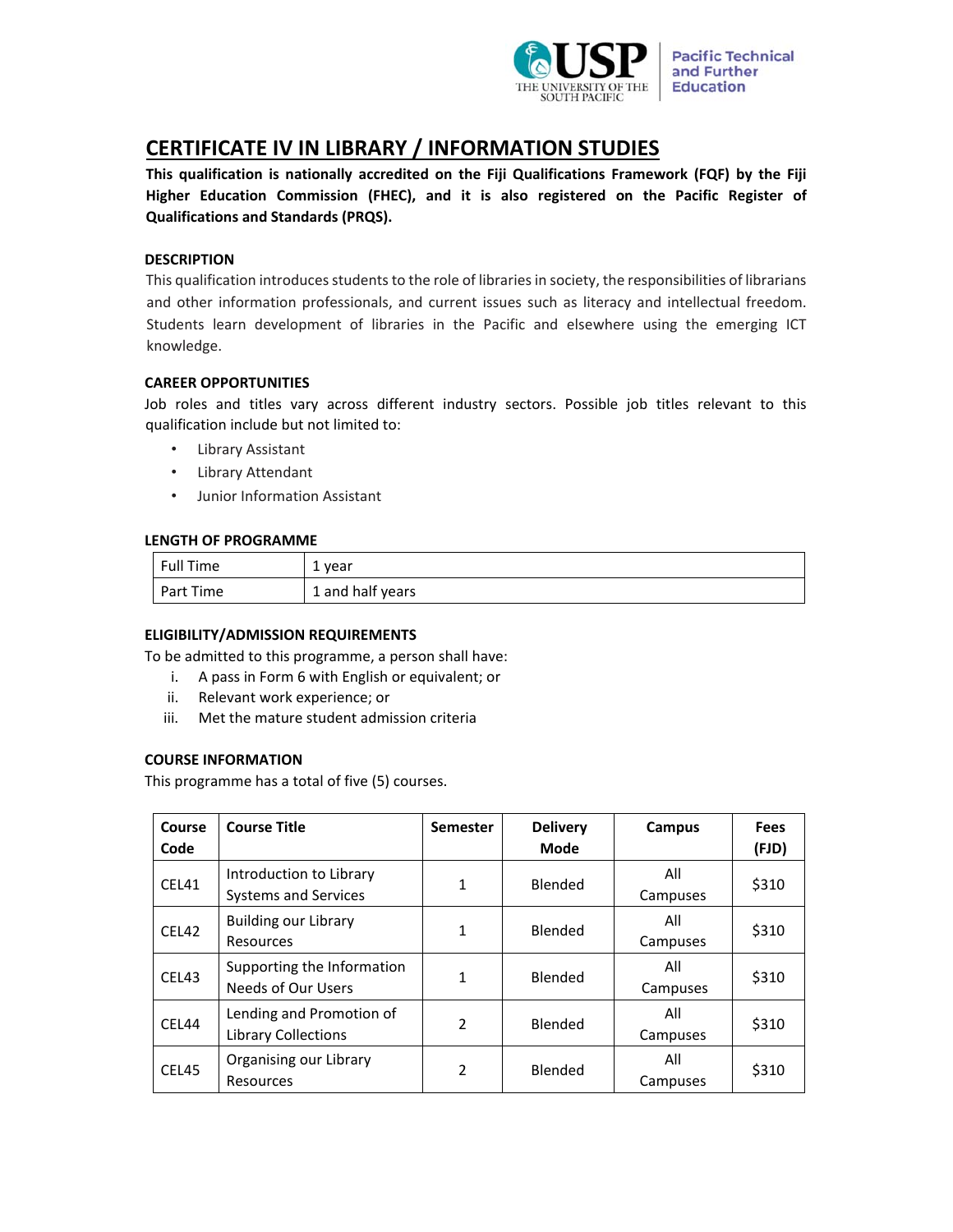

# **CERTIFICATE IV IN LIBRARY / INFORMATION STUDIES**

**This qualification is nationally accredited on the Fiji Qualifications Framework (FQF) by the Fiji Higher Education Commission (FHEC), and it is also registered on the Pacific Register of Qualifications and Standards (PRQS).** 

# **DESCRIPTION**

This qualification introduces students to the role of libraries in society, the responsibilities of librarians and other information professionals, and current issues such as literacy and intellectual freedom. Students learn development of libraries in the Pacific and elsewhere using the emerging ICT knowledge.

# **CAREER OPPORTUNITIES**

Job roles and titles vary across different industry sectors. Possible job titles relevant to this qualification include but not limited to:

- Library Assistant
- Library Attendant
- Junior Information Assistant

# **LENGTH OF PROGRAMME**

| Full Time | 1 year           |
|-----------|------------------|
| Part Time | 1 and half years |

## **ELIGIBILITY/ADMISSION REQUIREMENTS**

To be admitted to this programme, a person shall have:

- i. A pass in Form 6 with English or equivalent; or
- ii. Relevant work experience; or
- iii. Met the mature student admission criteria

## **COURSE INFORMATION**

This programme has a total of five (5) courses.

| <b>Course</b><br>Code | <b>Course Title</b>                                     | <b>Semester</b> | <b>Delivery</b><br>Mode | Campus          | <b>Fees</b><br>(FJD) |
|-----------------------|---------------------------------------------------------|-----------------|-------------------------|-----------------|----------------------|
| CEL41                 | Introduction to Library<br><b>Systems and Services</b>  | $\mathbf{1}$    | Blended                 | All<br>Campuses | \$310                |
| CEL42                 | <b>Building our Library</b><br>Resources                | 1               | Blended                 | All<br>Campuses | \$310                |
| CEL43                 | Supporting the Information<br><b>Needs of Our Users</b> | 1               | Blended                 | All<br>Campuses | \$310                |
| CEL44                 | Lending and Promotion of<br>Library Collections         | $\mathfrak{p}$  | Blended                 | All<br>Campuses | \$310                |
| CEL45                 | Organising our Library<br>Resources                     | 2               | Blended                 | All<br>Campuses | \$310                |